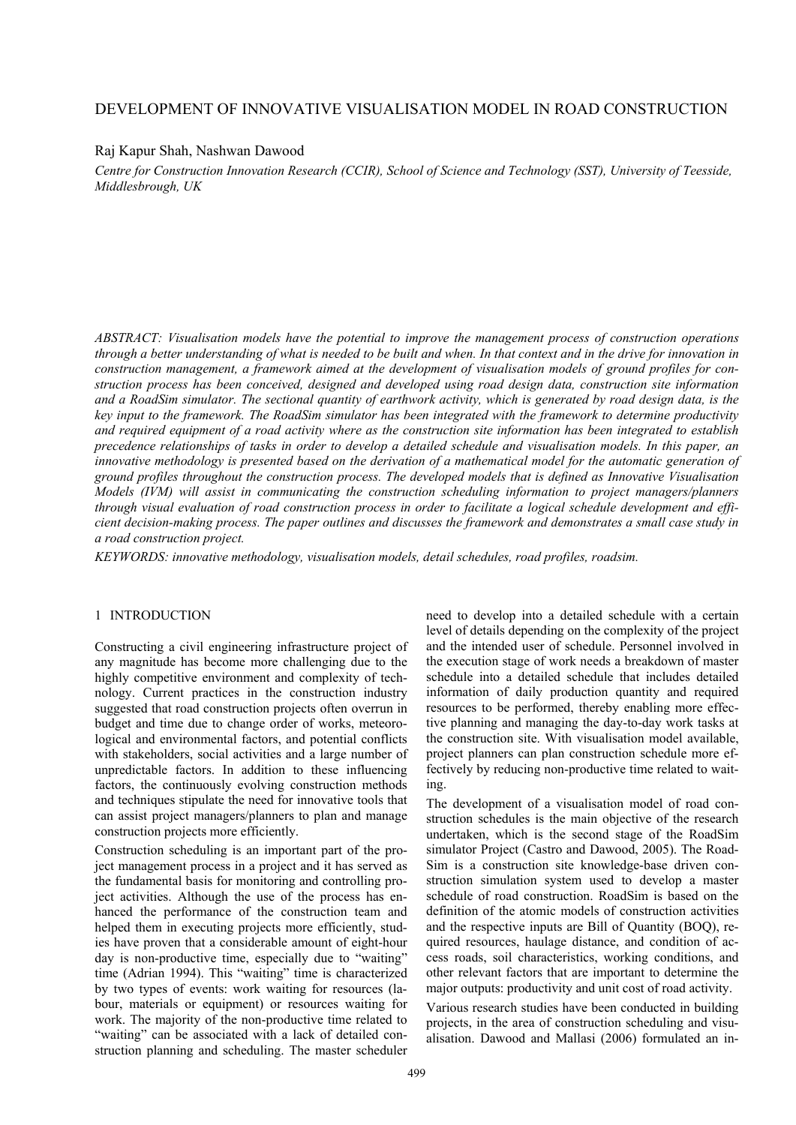# DEVELOPMENT OF INNOVATIVE VISUALISATION MODEL IN ROAD CONSTRUCTION

## Raj Kapur Shah, Nashwan Dawood

*Centre for Construction Innovation Research (CCIR), School of Science and Technology (SST), University of Teesside, Middlesbrough, UK* 

*ABSTRACT: Visualisation models have the potential to improve the management process of construction operations through a better understanding of what is needed to be built and when. In that context and in the drive for innovation in construction management, a framework aimed at the development of visualisation models of ground profiles for construction process has been conceived, designed and developed using road design data, construction site information and a RoadSim simulator. The sectional quantity of earthwork activity, which is generated by road design data, is the key input to the framework. The RoadSim simulator has been integrated with the framework to determine productivity and required equipment of a road activity where as the construction site information has been integrated to establish precedence relationships of tasks in order to develop a detailed schedule and visualisation models. In this paper, an innovative methodology is presented based on the derivation of a mathematical model for the automatic generation of ground profiles throughout the construction process. The developed models that is defined as Innovative Visualisation Models (IVM) will assist in communicating the construction scheduling information to project managers/planners through visual evaluation of road construction process in order to facilitate a logical schedule development and efficient decision-making process. The paper outlines and discusses the framework and demonstrates a small case study in a road construction project.* 

*KEYWORDS: innovative methodology, visualisation models, detail schedules, road profiles, roadsim.* 

### 1 INTRODUCTION

Constructing a civil engineering infrastructure project of any magnitude has become more challenging due to the highly competitive environment and complexity of technology. Current practices in the construction industry suggested that road construction projects often overrun in budget and time due to change order of works, meteorological and environmental factors, and potential conflicts with stakeholders, social activities and a large number of unpredictable factors. In addition to these influencing factors, the continuously evolving construction methods and techniques stipulate the need for innovative tools that can assist project managers/planners to plan and manage construction projects more efficiently.

Construction scheduling is an important part of the project management process in a project and it has served as the fundamental basis for monitoring and controlling project activities. Although the use of the process has enhanced the performance of the construction team and helped them in executing projects more efficiently, studies have proven that a considerable amount of eight-hour day is non-productive time, especially due to "waiting" time (Adrian 1994). This "waiting" time is characterized by two types of events: work waiting for resources (labour, materials or equipment) or resources waiting for work. The majority of the non-productive time related to "waiting" can be associated with a lack of detailed construction planning and scheduling. The master scheduler

need to develop into a detailed schedule with a certain level of details depending on the complexity of the project and the intended user of schedule. Personnel involved in the execution stage of work needs a breakdown of master schedule into a detailed schedule that includes detailed information of daily production quantity and required resources to be performed, thereby enabling more effective planning and managing the day-to-day work tasks at the construction site. With visualisation model available, project planners can plan construction schedule more effectively by reducing non-productive time related to waiting.

The development of a visualisation model of road construction schedules is the main objective of the research undertaken, which is the second stage of the RoadSim simulator Project (Castro and Dawood, 2005). The Road-Sim is a construction site knowledge-base driven construction simulation system used to develop a master schedule of road construction. RoadSim is based on the definition of the atomic models of construction activities and the respective inputs are Bill of Quantity (BOQ), required resources, haulage distance, and condition of access roads, soil characteristics, working conditions, and other relevant factors that are important to determine the major outputs: productivity and unit cost of road activity.

Various research studies have been conducted in building projects, in the area of construction scheduling and visualisation. Dawood and Mallasi (2006) formulated an in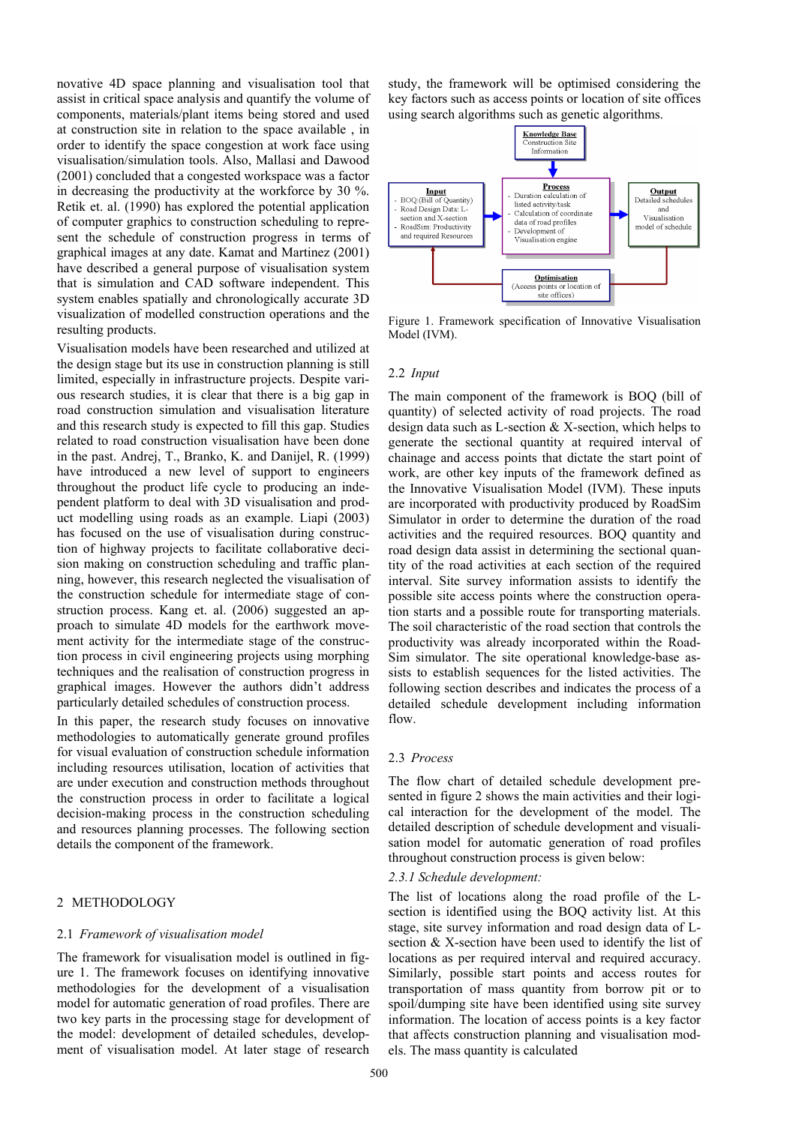novative 4D space planning and visualisation tool that assist in critical space analysis and quantify the volume of components, materials/plant items being stored and used at construction site in relation to the space available , in order to identify the space congestion at work face using visualisation/simulation tools. Also, Mallasi and Dawood (2001) concluded that a congested workspace was a factor in decreasing the productivity at the workforce by 30 %. Retik et. al. (1990) has explored the potential application of computer graphics to construction scheduling to represent the schedule of construction progress in terms of graphical images at any date. Kamat and Martinez (2001) have described a general purpose of visualisation system that is simulation and CAD software independent. This system enables spatially and chronologically accurate 3D visualization of modelled construction operations and the resulting products.

Visualisation models have been researched and utilized at the design stage but its use in construction planning is still limited, especially in infrastructure projects. Despite various research studies, it is clear that there is a big gap in road construction simulation and visualisation literature and this research study is expected to fill this gap. Studies related to road construction visualisation have been done in the past. Andrej, T., Branko, K. and Danijel, R. (1999) have introduced a new level of support to engineers throughout the product life cycle to producing an independent platform to deal with 3D visualisation and product modelling using roads as an example. Liapi (2003) has focused on the use of visualisation during construction of highway projects to facilitate collaborative decision making on construction scheduling and traffic planning, however, this research neglected the visualisation of the construction schedule for intermediate stage of construction process. Kang et. al. (2006) suggested an approach to simulate 4D models for the earthwork movement activity for the intermediate stage of the construction process in civil engineering projects using morphing techniques and the realisation of construction progress in graphical images. However the authors didn't address particularly detailed schedules of construction process.

In this paper, the research study focuses on innovative methodologies to automatically generate ground profiles for visual evaluation of construction schedule information including resources utilisation, location of activities that are under execution and construction methods throughout the construction process in order to facilitate a logical decision-making process in the construction scheduling and resources planning processes. The following section details the component of the framework.

### 2 METHODOLOGY

#### 2.1 *Framework of visualisation model*

The framework for visualisation model is outlined in figure 1. The framework focuses on identifying innovative methodologies for the development of a visualisation model for automatic generation of road profiles. There are two key parts in the processing stage for development of the model: development of detailed schedules, development of visualisation model. At later stage of research

study, the framework will be optimised considering the key factors such as access points or location of site offices using search algorithms such as genetic algorithms.



Figure 1. Framework specification of Innovative Visualisation Model (IVM).

### 2.2 *Input*

The main component of the framework is BOQ (bill of quantity) of selected activity of road projects. The road design data such as L-section & X-section, which helps to generate the sectional quantity at required interval of chainage and access points that dictate the start point of work, are other key inputs of the framework defined as the Innovative Visualisation Model (IVM). These inputs are incorporated with productivity produced by RoadSim Simulator in order to determine the duration of the road activities and the required resources. BOQ quantity and road design data assist in determining the sectional quantity of the road activities at each section of the required interval. Site survey information assists to identify the possible site access points where the construction operation starts and a possible route for transporting materials. The soil characteristic of the road section that controls the productivity was already incorporated within the Road-Sim simulator. The site operational knowledge-base assists to establish sequences for the listed activities. The following section describes and indicates the process of a detailed schedule development including information flow.

### 2.3 *Process*

The flow chart of detailed schedule development presented in figure 2 shows the main activities and their logical interaction for the development of the model. The detailed description of schedule development and visualisation model for automatic generation of road profiles throughout construction process is given below:

### *2.3.1 Schedule development:*

The list of locations along the road profile of the Lsection is identified using the BOQ activity list. At this stage, site survey information and road design data of Lsection & X-section have been used to identify the list of locations as per required interval and required accuracy. Similarly, possible start points and access routes for transportation of mass quantity from borrow pit or to spoil/dumping site have been identified using site survey information. The location of access points is a key factor that affects construction planning and visualisation models. The mass quantity is calculated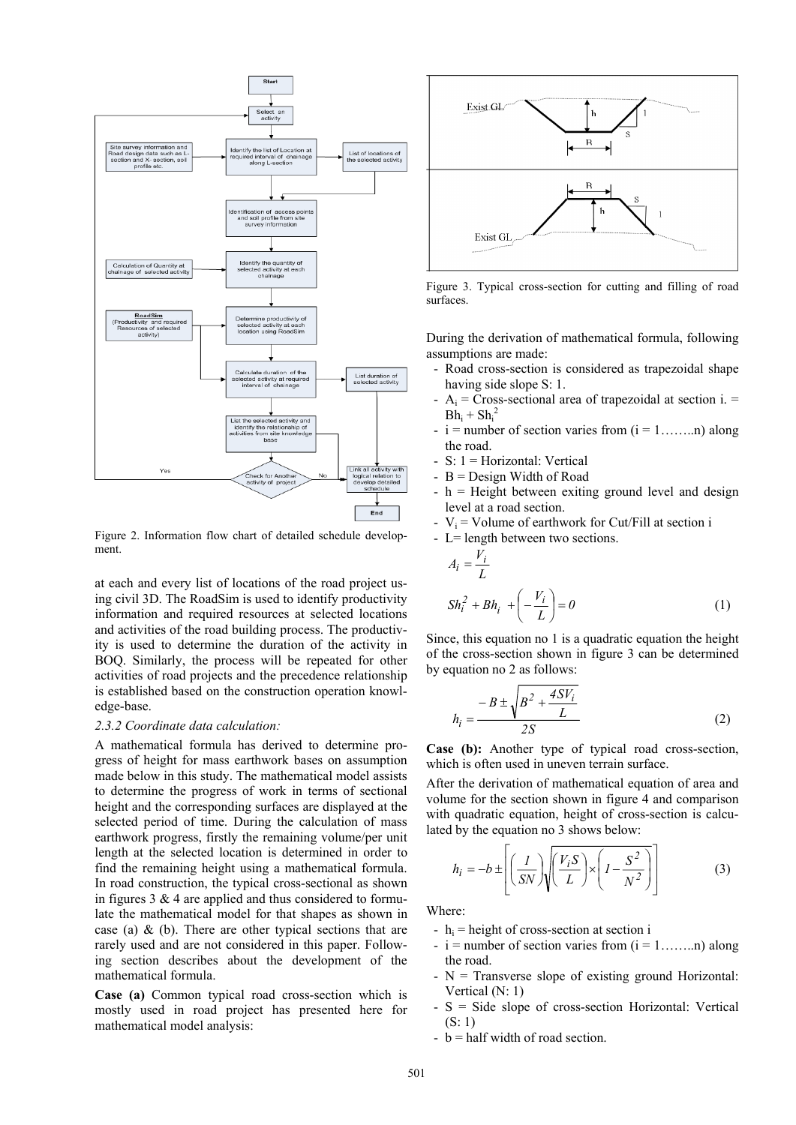

Figure 2. Information flow chart of detailed schedule development.

at each and every list of locations of the road project using civil 3D. The RoadSim is used to identify productivity information and required resources at selected locations and activities of the road building process. The productivity is used to determine the duration of the activity in BOQ. Similarly, the process will be repeated for other activities of road projects and the precedence relationship is established based on the construction operation knowledge-base.

### *2.3.2 Coordinate data calculation:*

A mathematical formula has derived to determine progress of height for mass earthwork bases on assumption made below in this study. The mathematical model assists to determine the progress of work in terms of sectional height and the corresponding surfaces are displayed at the selected period of time. During the calculation of mass earthwork progress, firstly the remaining volume/per unit length at the selected location is determined in order to find the remaining height using a mathematical formula. In road construction, the typical cross-sectional as shown in figures  $3 \& 4$  are applied and thus considered to formulate the mathematical model for that shapes as shown in case (a) & (b). There are other typical sections that are rarely used and are not considered in this paper. Following section describes about the development of the mathematical formula.

**Case (a)** Common typical road cross-section which is mostly used in road project has presented here for mathematical model analysis:



Figure 3. Typical cross-section for cutting and filling of road surfaces.

During the derivation of mathematical formula, following assumptions are made:

- Road cross-section is considered as trapezoidal shape having side slope S: 1.
- $-A_i$  = Cross-sectional area of trapezoidal at section i. =  $Bh_i + Sh_i^2$
- $i$  = number of section varies from  $(i = 1, \ldots, n)$  along the road.
- S: 1 = Horizontal: Vertical
- $-B =$  Design Width of Road
- $-h =$  Height between exiting ground level and design level at a road section.
- $V_i$  = Volume of earthwork for Cut/Fill at section i

$$
-
$$
 L = length between two sections.

$$
A_i = \frac{V_i}{L}
$$
  

$$
Sh_i^2 + Bh_i + \left(-\frac{V_i}{L}\right) = 0
$$
 (1)

Since, this equation no 1 is a quadratic equation the height of the cross-section shown in figure 3 can be determined by equation no 2 as follows:

$$
h_{i} = \frac{-B \pm \sqrt{B^{2} + \frac{4SV_{i}}{L}}}{2S}
$$
 (2)

**Case (b):** Another type of typical road cross-section, which is often used in uneven terrain surface.

After the derivation of mathematical equation of area and volume for the section shown in figure 4 and comparison with quadratic equation, height of cross-section is calculated by the equation no 3 shows below:

$$
h_i = -b \pm \left[ \left( \frac{I}{SN} \right) \sqrt{\left( \frac{V_i S}{L} \right) \times \left( I - \frac{S^2}{N^2} \right)} \right]
$$
(3)

Where:

- $-h_i$  = height of cross-section at section i
- $i$  = number of section varies from  $(i = 1, \ldots, n)$  along the road.
- N = Transverse slope of existing ground Horizontal: Vertical (N: 1)
- S = Side slope of cross-section Horizontal: Vertical (S: 1)
- $-b =$  half width of road section.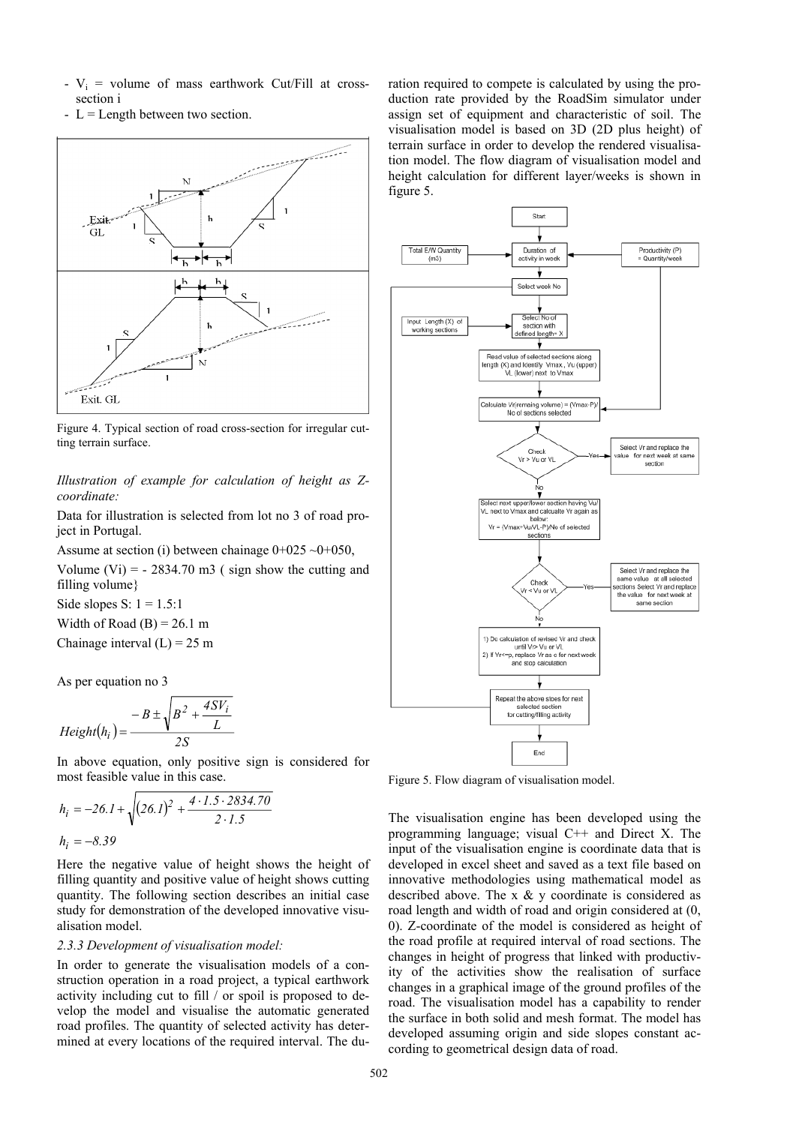- $V_i$  = volume of mass earthwork Cut/Fill at crosssection i
- $L =$  Length between two section.



Figure 4. Typical section of road cross-section for irregular cutting terrain surface.

*Illustration of example for calculation of height as Zcoordinate:* 

Data for illustration is selected from lot no 3 of road project in Portugal.

Assume at section (i) between chainage  $0+025 \sim 0+050$ , Volume (Vi) =  $-2834.70$  m3 (sign show the cutting and filling volume}

Side slopes S:  $1 = 1.5:1$ Width of Road  $(B) = 26.1$  m Chainage interval  $(L) = 25$  m

As per equation no 3

$$
Height(h_i) = \frac{-B \pm \sqrt{B^2 + \frac{4SV_i}{L}}}{2S}
$$

In above equation, only positive sign is considered for most feasible value in this case.

$$
h_i = -26.1 + \sqrt{(26.1)^2 + \frac{4 \cdot 1.5 \cdot 2834.70}{2 \cdot 1.5}}
$$
  

$$
h_i = -8.39
$$

Here the negative value of height shows the height of filling quantity and positive value of height shows cutting quantity. The following section describes an initial case study for demonstration of the developed innovative visualisation model.

#### *2.3.3 Development of visualisation model:*

In order to generate the visualisation models of a construction operation in a road project, a typical earthwork activity including cut to fill / or spoil is proposed to develop the model and visualise the automatic generated road profiles. The quantity of selected activity has determined at every locations of the required interval. The duration required to compete is calculated by using the production rate provided by the RoadSim simulator under assign set of equipment and characteristic of soil. The visualisation model is based on 3D (2D plus height) of terrain surface in order to develop the rendered visualisation model. The flow diagram of visualisation model and height calculation for different layer/weeks is shown in figure 5.



Figure 5. Flow diagram of visualisation model.

The visualisation engine has been developed using the programming language; visual C++ and Direct X. The input of the visualisation engine is coordinate data that is developed in excel sheet and saved as a text file based on innovative methodologies using mathematical model as described above. The x & y coordinate is considered as road length and width of road and origin considered at (0, 0). Z-coordinate of the model is considered as height of the road profile at required interval of road sections. The changes in height of progress that linked with productivity of the activities show the realisation of surface changes in a graphical image of the ground profiles of the road. The visualisation model has a capability to render the surface in both solid and mesh format. The model has developed assuming origin and side slopes constant according to geometrical design data of road.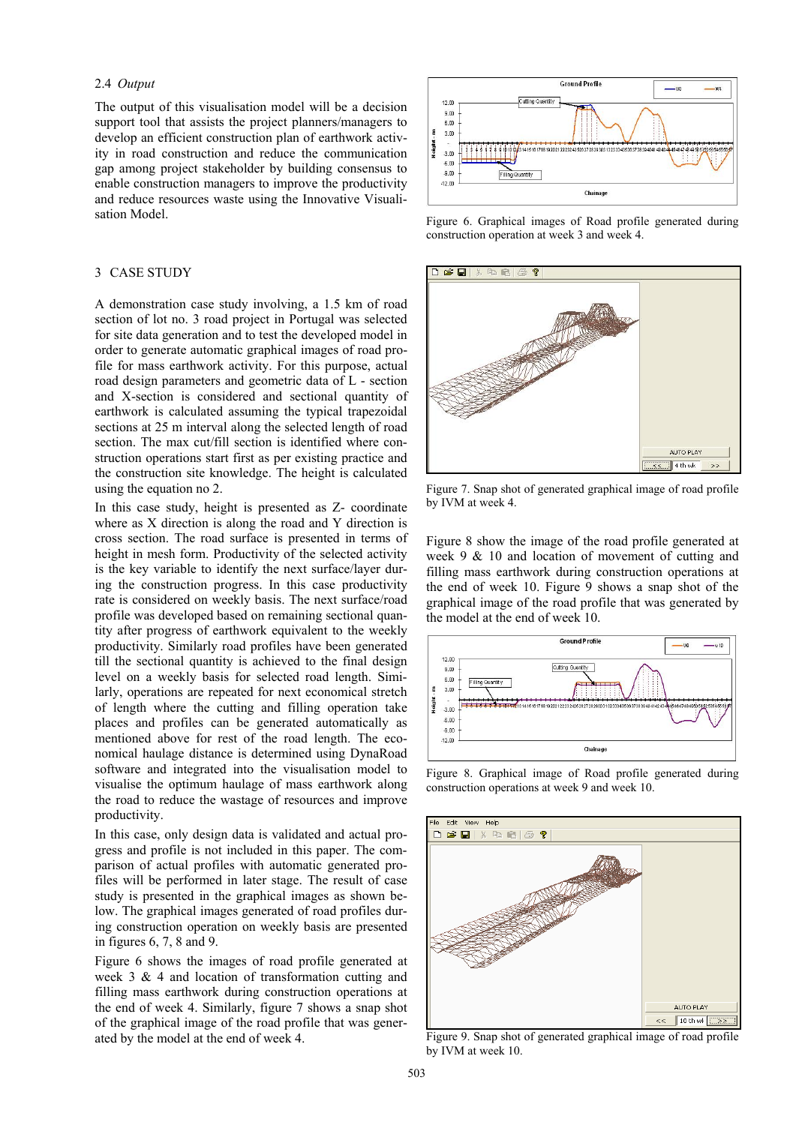### 2.4 *Output*

The output of this visualisation model will be a decision support tool that assists the project planners/managers to develop an efficient construction plan of earthwork activity in road construction and reduce the communication gap among project stakeholder by building consensus to enable construction managers to improve the productivity and reduce resources waste using the Innovative Visualisation Model.

### 3 CASE STUDY

A demonstration case study involving, a 1.5 km of road section of lot no. 3 road project in Portugal was selected for site data generation and to test the developed model in order to generate automatic graphical images of road profile for mass earthwork activity. For this purpose, actual road design parameters and geometric data of L - section and X-section is considered and sectional quantity of earthwork is calculated assuming the typical trapezoidal sections at 25 m interval along the selected length of road section. The max cut/fill section is identified where construction operations start first as per existing practice and the construction site knowledge. The height is calculated using the equation no 2.

In this case study, height is presented as Z- coordinate where as X direction is along the road and Y direction is cross section. The road surface is presented in terms of height in mesh form. Productivity of the selected activity is the key variable to identify the next surface/layer during the construction progress. In this case productivity rate is considered on weekly basis. The next surface/road profile was developed based on remaining sectional quantity after progress of earthwork equivalent to the weekly productivity. Similarly road profiles have been generated till the sectional quantity is achieved to the final design level on a weekly basis for selected road length. Similarly, operations are repeated for next economical stretch of length where the cutting and filling operation take places and profiles can be generated automatically as mentioned above for rest of the road length. The economical haulage distance is determined using DynaRoad software and integrated into the visualisation model to visualise the optimum haulage of mass earthwork along the road to reduce the wastage of resources and improve productivity.

In this case, only design data is validated and actual progress and profile is not included in this paper. The comparison of actual profiles with automatic generated profiles will be performed in later stage. The result of case study is presented in the graphical images as shown below. The graphical images generated of road profiles during construction operation on weekly basis are presented in figures 6, 7, 8 and 9.

Figure 6 shows the images of road profile generated at week 3 & 4 and location of transformation cutting and filling mass earthwork during construction operations at the end of week 4. Similarly, figure 7 shows a snap shot of the graphical image of the road profile that was generated by the model at the end of week 4.



Figure 6. Graphical images of Road profile generated during construction operation at week 3 and week 4.



Figure 7. Snap shot of generated graphical image of road profile by IVM at week 4.

Figure 8 show the image of the road profile generated at week 9 & 10 and location of movement of cutting and filling mass earthwork during construction operations at the end of week 10. Figure 9 shows a snap shot of the graphical image of the road profile that was generated by the model at the end of week 10.



Figure 8. Graphical image of Road profile generated during construction operations at week 9 and week 10.



Figure 9. Snap shot of generated graphical image of road profile by IVM at week 10.